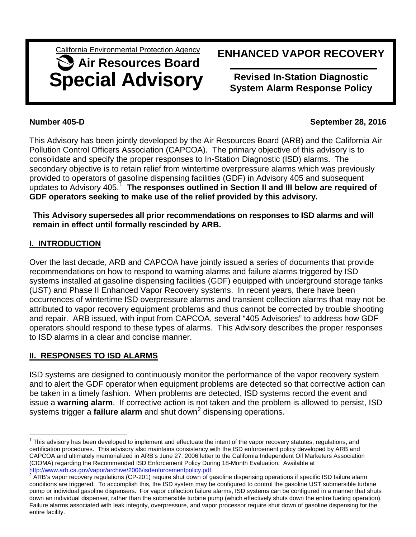California Environmental Protection Agency

# **Special Advisory Air Resources Board**

## **ENHANCED VAPOR RECOVERY**

**Revised In-Station Diagnostic System Alarm Response Policy**

#### **Number 405-D September 28, 2016**

This Advisory has been jointly developed by the Air Resources Board (ARB) and the California Air Pollution Control Officers Association (CAPCOA). The primary objective of this advisory is to consolidate and specify the proper responses to In-Station Diagnostic (ISD) alarms. The secondary objective is to retain relief from wintertime overpressure alarms which was previously provided to operators of gasoline dispensing facilities (GDF) in Advisory 405 and subsequent updates to Advisory 405. [1](#page-0-0) **The responses outlined in Section II and III below are required of GDF operators seeking to make use of the relief provided by this advisory.**

**This Advisory supersedes all prior recommendations on responses to ISD alarms and will remain in effect until formally rescinded by ARB.** 

### **I. INTRODUCTION**

Over the last decade, ARB and CAPCOA have jointly issued a series of documents that provide recommendations on how to respond to warning alarms and failure alarms triggered by ISD systems installed at gasoline dispensing facilities (GDF) equipped with underground storage tanks (UST) and Phase II Enhanced Vapor Recovery systems. In recent years, there have been occurrences of wintertime ISD overpressure alarms and transient collection alarms that may not be attributed to vapor recovery equipment problems and thus cannot be corrected by trouble shooting and repair. ARB issued, with input from CAPCOA, several "405 Advisories" to address how GDF operators should respond to these types of alarms. This Advisory describes the proper responses to ISD alarms in a clear and concise manner.

### **II. RESPONSES TO ISD ALARMS**

ISD systems are designed to continuously monitor the performance of the vapor recovery system and to alert the GDF operator when equipment problems are detected so that corrective action can be taken in a timely fashion. When problems are detected, ISD systems record the event and issue a **warning alarm**. If corrective action is not taken and the problem is allowed to persist, ISD systems trigger a **failure alarm** and shut down<sup>[2](#page-0-1)</sup> dispensing operations.

<span id="page-0-0"></span> $1$  This advisory has been developed to implement and effectuate the intent of the vapor recovery statutes, regulations, and certification procedures. This advisory also maintains consistency with the ISD enforcement policy developed by ARB and CAPCOA and ultimately memorialized in ARB's June 27, 2006 letter to the California Independent Oil Marketers Association (CIOMA) regarding the Recommended ISD Enforcement Policy During 18-Month Evaluation. Available at [http://www.arb.ca.gov/vapor/archive/2006/isdenforcementpolicy.pdf.](http://www.arb.ca.gov/vapor/archive/2006/isdenforcementpolicy.pdf)<br><sup>[2](http://www.arb.ca.gov/vapor/archive/2006/isdenforcementpolicy.pdf)</sup> ARB's vapor recovery regulations (CP-201) require shut down of gasoline dispensing operations if specific ISD failure alarm  $\frac{1}{1}$ 

<span id="page-0-1"></span>conditions are triggered. To accomplish this, the ISD system may be configured to control the gasoline UST submersible turbine pump or individual gasoline dispensers. For vapor collection failure alarms, ISD systems can be configured in a manner that shuts down an individual dispenser, rather than the submersible turbine pump (which effectively shuts down the entire fueling operation). Failure alarms associated with leak integrity, overpressure, and vapor processor require shut down of gasoline dispensing for the entire facility.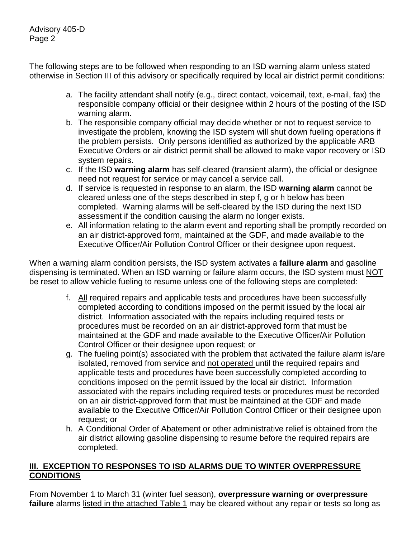Advisory 405-D Page 2

The following steps are to be followed when responding to an ISD warning alarm unless stated otherwise in Section III of this advisory or specifically required by local air district permit conditions:

- a. The facility attendant shall notify (e.g., direct contact, voicemail, text, e-mail, fax) the responsible company official or their designee within 2 hours of the posting of the ISD warning alarm.
- b. The responsible company official may decide whether or not to request service to investigate the problem, knowing the ISD system will shut down fueling operations if the problem persists. Only persons identified as authorized by the applicable ARB Executive Orders or air district permit shall be allowed to make vapor recovery or ISD system repairs.
- c. If the ISD **warning alarm** has self-cleared (transient alarm), the official or designee need not request for service or may cancel a service call.
- d. If service is requested in response to an alarm, the ISD **warning alarm** cannot be cleared unless one of the steps described in step f, g or h below has been completed. Warning alarms will be self-cleared by the ISD during the next ISD assessment if the condition causing the alarm no longer exists.
- e. All information relating to the alarm event and reporting shall be promptly recorded on an air district-approved form, maintained at the GDF, and made available to the Executive Officer/Air Pollution Control Officer or their designee upon request.

When a warning alarm condition persists, the ISD system activates a **failure alarm** and gasoline dispensing is terminated. When an ISD warning or failure alarm occurs, the ISD system must NOT be reset to allow vehicle fueling to resume unless one of the following steps are completed:

- f. All required repairs and applicable tests and procedures have been successfully completed according to conditions imposed on the permit issued by the local air district. Information associated with the repairs including required tests or procedures must be recorded on an air district-approved form that must be maintained at the GDF and made available to the Executive Officer/Air Pollution Control Officer or their designee upon request; or
- g. The fueling point(s) associated with the problem that activated the failure alarm is/are isolated, removed from service and not operated until the required repairs and applicable tests and procedures have been successfully completed according to conditions imposed on the permit issued by the local air district. Information associated with the repairs including required tests or procedures must be recorded on an air district-approved form that must be maintained at the GDF and made available to the Executive Officer/Air Pollution Control Officer or their designee upon request; or
- h. A Conditional Order of Abatement or other administrative relief is obtained from the air district allowing gasoline dispensing to resume before the required repairs are completed.

#### **III. EXCEPTION TO RESPONSES TO ISD ALARMS DUE TO WINTER OVERPRESSURE CONDITIONS**

From November 1 to March 31 (winter fuel season), **overpressure warning or overpressure failure** alarms listed in the attached Table 1 may be cleared without any repair or tests so long as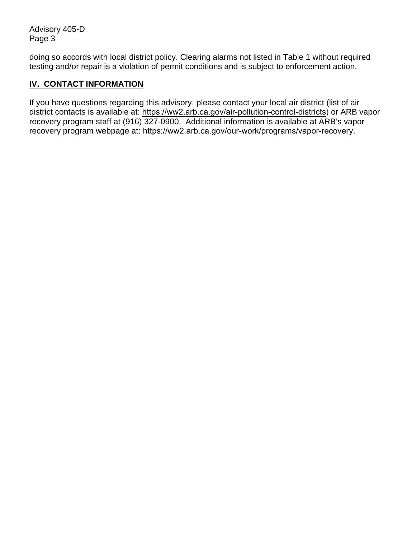Advisory 405-D Page 3

doing so accords with local district policy. Clearing alarms not listed in Table 1 without required testing and/or repair is a violation of permit conditions and is subject to enforcement action.

#### **IV. CONTACT INFORMATION**

If you have questions regarding this advisory, please contact your local air district (list of air district contacts is available at: <https://ww2.arb.ca.gov/air-pollution-control-districts>) or ARB vapor recovery program staff at (916) 327-0900. Additional information is available at ARB's vapor recovery program webpage at: <https://ww2.arb.ca.gov/our-work/programs/vapor-recovery>.